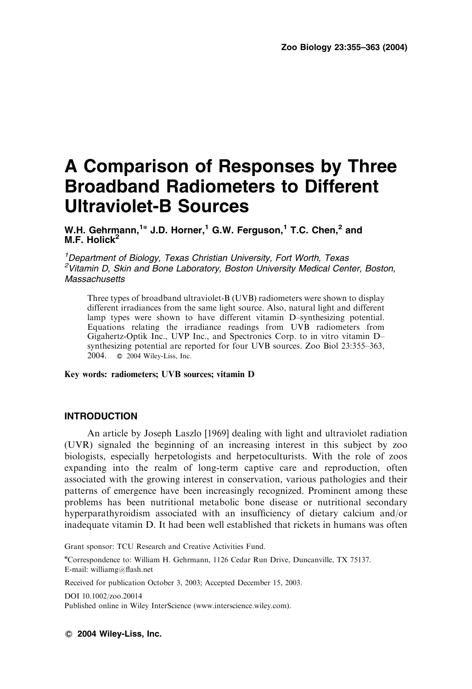# A Comparison of Responses by Three Broadband Radiometers to Different Ultraviolet-B Sources

W.H. Gehrmann,<sup>1\*</sup> J.D. Horner,<sup>1</sup> G.W. Ferguson,<sup>1</sup> T.C. Chen,<sup>2</sup> and M.F. Holick $2$ 

<sup>1</sup> Department of Biology, Texas Christian University, Fort Worth, Texas <sup>2</sup>Vitamin D, Skin and Bone Laboratory, Boston University Medical Center, Boston, **Massachusetts** 

Three types of broadband ultraviolet-B (UVB) radiometers were shown to display different irradiances from the same light source. Also, natural light and different lamp types were shown to have different vitamin D–synthesizing potential. Equations relating the irradiance readings from UVB radiometers from Gigahertz-Optik Inc., UVP Inc., and Spectronics Corp. to in vitro vitamin D– synthesizing potential are reported for four UVB sources. Zoo Biol 23:355–363, 2004. c 2004 Wiley-Liss, Inc.

Key words: radiometers; UVB sources; vitamin D

## INTRODUCTION

An article by Joseph Laszlo [1969] dealing with light and ultraviolet radiation (UVR) signaled the beginning of an increasing interest in this subject by zoo biologists, especially herpetologists and herpetoculturists. With the role of zoos expanding into the realm of long-term captive care and reproduction, often associated with the growing interest in conservation, various pathologies and their patterns of emergence have been increasingly recognized. Prominent among these problems has been nutritional metabolic bone disease or nutritional secondary hyperparathyroidism associated with an insufficiency of dietary calcium and/or inadequate vitamin D. It had been well established that rickets in humans was often

Grant sponsor: TCU Research and Creative Activities Fund. n Correspondence to: William H. Gehrmann, 1126 Cedar Run Drive, Duncanville, TX 75137. E-mail: williamg@flash.net Received for publication October 3, 2003; Accepted December 15, 2003. DOI 10.1002/zoo.20014 Published online in Wiley InterScience (www.interscience.wiley.com).

c 2004 Wiley-Liss, Inc.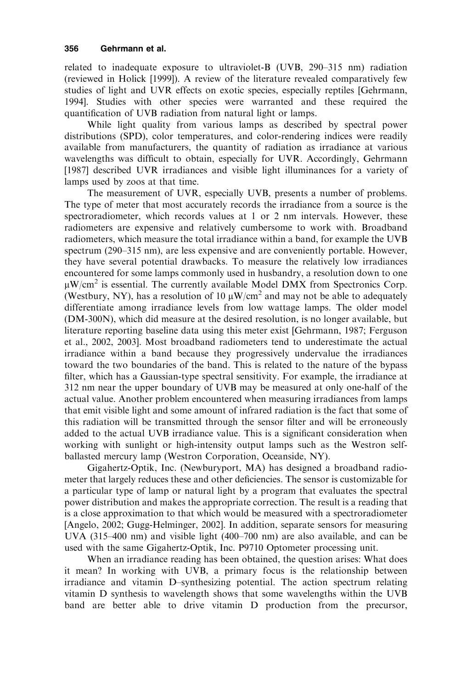related to inadequate exposure to ultraviolet-B (UVB, 290–315 nm) radiation (reviewed in Holick [1999]). A review of the literature revealed comparatively few studies of light and UVR effects on exotic species, especially reptiles [Gehrmann, 1994]. Studies with other species were warranted and these required the quantification of UVB radiation from natural light or lamps.

While light quality from various lamps as described by spectral power distributions (SPD), color temperatures, and color-rendering indices were readily available from manufacturers, the quantity of radiation as irradiance at various wavelengths was difficult to obtain, especially for UVR. Accordingly, Gehrmann [1987] described UVR irradiances and visible light illuminances for a variety of lamps used by zoos at that time.

The measurement of UVR, especially UVB, presents a number of problems. The type of meter that most accurately records the irradiance from a source is the spectroradiometer, which records values at 1 or 2 nm intervals. However, these radiometers are expensive and relatively cumbersome to work with. Broadband radiometers, which measure the total irradiance within a band, for example the UVB spectrum (290–315 nm), are less expensive and are conveniently portable. However, they have several potential drawbacks. To measure the relatively low irradiances encountered for some lamps commonly used in husbandry, a resolution down to one  $\mu$ W/cm<sup>2</sup> is essential. The currently available Model DMX from Spectronics Corp. (Westbury, NY), has a resolution of 10  $\mu$ W/cm<sup>2</sup> and may not be able to adequately differentiate among irradiance levels from low wattage lamps. The older model (DM-300N), which did measure at the desired resolution, is no longer available, but literature reporting baseline data using this meter exist [Gehrmann, 1987; Ferguson et al., 2002, 2003]. Most broadband radiometers tend to underestimate the actual irradiance within a band because they progressively undervalue the irradiances toward the two boundaries of the band. This is related to the nature of the bypass filter, which has a Gaussian-type spectral sensitivity. For example, the irradiance at 312 nm near the upper boundary of UVB may be measured at only one-half of the actual value. Another problem encountered when measuring irradiances from lamps that emit visible light and some amount of infrared radiation is the fact that some of this radiation will be transmitted through the sensor filter and will be erroneously added to the actual UVB irradiance value. This is a significant consideration when working with sunlight or high-intensity output lamps such as the Westron selfballasted mercury lamp (Westron Corporation, Oceanside, NY).

Gigahertz-Optik, Inc. (Newburyport, MA) has designed a broadband radiometer that largely reduces these and other deficiencies. The sensor is customizable for a particular type of lamp or natural light by a program that evaluates the spectral power distribution and makes the appropriate correction. The result is a reading that is a close approximation to that which would be measured with a spectroradiometer [Angelo, 2002; Gugg-Helminger, 2002]. In addition, separate sensors for measuring UVA (315–400 nm) and visible light (400–700 nm) are also available, and can be used with the same Gigahertz-Optik, Inc. P9710 Optometer processing unit.

When an irradiance reading has been obtained, the question arises: What does it mean? In working with UVB, a primary focus is the relationship between irradiance and vitamin D–synthesizing potential. The action spectrum relating vitamin D synthesis to wavelength shows that some wavelengths within the UVB band are better able to drive vitamin D production from the precursor,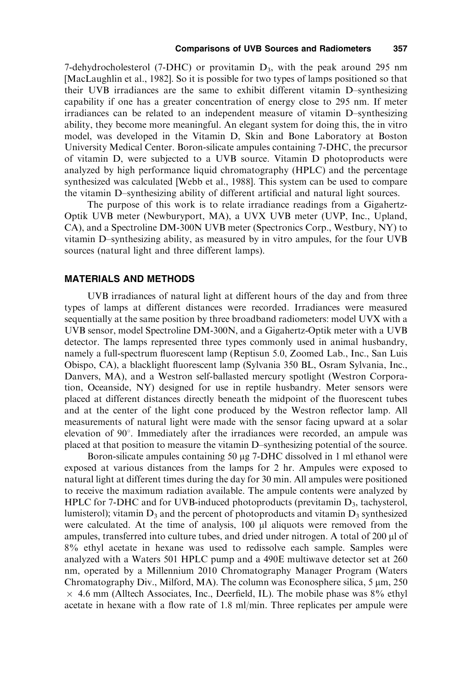7-dehydrocholesterol (7-DHC) or provitamin  $D_3$ , with the peak around 295 nm [MacLaughlin et al., 1982]. So it is possible for two types of lamps positioned so that their UVB irradiances are the same to exhibit different vitamin D–synthesizing capability if one has a greater concentration of energy close to 295 nm. If meter irradiances can be related to an independent measure of vitamin D–synthesizing ability, they become more meaningful. An elegant system for doing this, the in vitro model, was developed in the Vitamin D, Skin and Bone Laboratory at Boston University Medical Center. Boron-silicate ampules containing 7-DHC, the precursor of vitamin D, were subjected to a UVB source. Vitamin D photoproducts were analyzed by high performance liquid chromatography (HPLC) and the percentage synthesized was calculated [Webb et al., 1988]. This system can be used to compare the vitamin D–synthesizing ability of different artificial and natural light sources.

The purpose of this work is to relate irradiance readings from a Gigahertz-Optik UVB meter (Newburyport, MA), a UVX UVB meter (UVP, Inc., Upland, CA), and a Spectroline DM-300N UVB meter (Spectronics Corp., Westbury, NY) to vitamin D–synthesizing ability, as measured by in vitro ampules, for the four UVB sources (natural light and three different lamps).

### MATERIALS AND METHODS

UVB irradiances of natural light at different hours of the day and from three types of lamps at different distances were recorded. Irradiances were measured sequentially at the same position by three broadband radiometers: model UVX with a UVB sensor, model Spectroline DM-300N, and a Gigahertz-Optik meter with a UVB detector. The lamps represented three types commonly used in animal husbandry, namely a full-spectrum fluorescent lamp (Reptisun 5.0, Zoomed Lab., Inc., San Luis Obispo, CA), a blacklight fluorescent lamp (Sylvania 350 BL, Osram Sylvania, Inc., Danvers, MA), and a Westron self-ballasted mercury spotlight (Westron Corporation, Oceanside, NY) designed for use in reptile husbandry. Meter sensors were placed at different distances directly beneath the midpoint of the fluorescent tubes and at the center of the light cone produced by the Westron reflector lamp. All measurements of natural light were made with the sensor facing upward at a solar elevation of  $90^\circ$ . Immediately after the irradiances were recorded, an ampule was placed at that position to measure the vitamin D–synthesizing potential of the source.

Boron-silicate ampules containing 50  $\mu$ g 7-DHC dissolved in 1 ml ethanol were exposed at various distances from the lamps for 2 hr. Ampules were exposed to natural light at different times during the day for 30 min. All ampules were positioned to receive the maximum radiation available. The ampule contents were analyzed by HPLC for 7-DHC and for UVB-induced photoproducts (previtamin  $D_3$ , tachysterol, lumisterol); vitamin  $D_3$  and the percent of photoproducts and vitamin  $D_3$  synthesized were calculated. At the time of analysis,  $100 \mu l$  aliquots were removed from the ampules, transferred into culture tubes, and dried under nitrogen. A total of 200 µl of 8% ethyl acetate in hexane was used to redissolve each sample. Samples were analyzed with a Waters 501 HPLC pump and a 490E multiwave detector set at 260 nm, operated by a Millennium 2010 Chromatography Manager Program (Waters Chromatography Div., Milford, MA). The column was Econosphere silica,  $5 \mu m$ , 250  $\times$  4.6 mm (Alltech Associates, Inc., Deerfield, IL). The mobile phase was 8% ethyl acetate in hexane with a flow rate of 1.8 ml/min. Three replicates per ampule were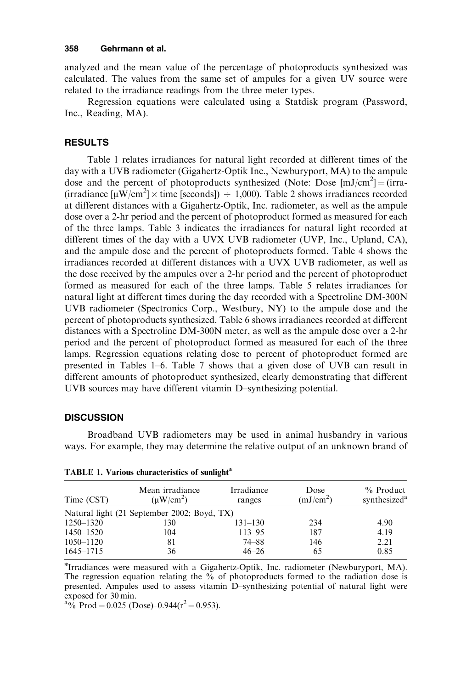analyzed and the mean value of the percentage of photoproducts synthesized was calculated. The values from the same set of ampules for a given UV source were related to the irradiance readings from the three meter types.

Regression equations were calculated using a Statdisk program (Password, Inc., Reading, MA).

# RESULTS

Table 1 relates irradiances for natural light recorded at different times of the day with a UVB radiometer (Gigahertz-Optik Inc., Newburyport, MA) to the ampule dose and the percent of photoproducts synthesized (Note: Dose  $[mJ/cm^2] = (irra (irradiance [µW/cm<sup>2</sup>] \times time [seconds]) \div 1,000$ . Table 2 shows irradiances recorded at different distances with a Gigahertz-Optik, Inc. radiometer, as well as the ampule dose over a 2-hr period and the percent of photoproduct formed as measured for each of the three lamps. Table 3 indicates the irradiances for natural light recorded at different times of the day with a UVX UVB radiometer (UVP, Inc., Upland, CA), and the ampule dose and the percent of photoproducts formed. Table 4 shows the irradiances recorded at different distances with a UVX UVB radiometer, as well as the dose received by the ampules over a 2-hr period and the percent of photoproduct formed as measured for each of the three lamps. Table 5 relates irradiances for natural light at different times during the day recorded with a Spectroline DM-300N UVB radiometer (Spectronics Corp., Westbury, NY) to the ampule dose and the percent of photoproducts synthesized. Table 6 shows irradiances recorded at different distances with a Spectroline DM-300N meter, as well as the ampule dose over a 2-hr period and the percent of photoproduct formed as measured for each of the three lamps. Regression equations relating dose to percent of photoproduct formed are presented in Tables 1–6. Table 7 shows that a given dose of UVB can result in different amounts of photoproduct synthesized, clearly demonstrating that different UVB sources may have different vitamin D–synthesizing potential.

# **DISCUSSION**

Broadband UVB radiometers may be used in animal husbandry in various ways. For example, they may determine the relative output of an unknown brand of

| Time (CST)    | Mean irradiance<br>$(\mu W/cm^2)$           | Irradiance<br>ranges | Dose<br>(mJ/cm <sup>2</sup> ) | % Product<br>synthesized <sup>a</sup> |
|---------------|---------------------------------------------|----------------------|-------------------------------|---------------------------------------|
|               | Natural light (21 September 2002; Boyd, TX) |                      |                               |                                       |
| $1250 - 1320$ | 130                                         | $131 - 130$          | 234                           | 4.90                                  |
| $1450 - 1520$ | 104                                         | $113 - 95$           | 187                           | 4.19                                  |
| $1050 - 1120$ | 81                                          | 74–88                | 146                           | 2.21                                  |
| $1645 - 1715$ | 36                                          | $46 - 26$            | 65                            | 0.85                                  |

TABLE 1. Various characteristics of sunlight $*$ 

n Irradiances were measured with a Gigahertz-Optik, Inc. radiometer (Newburyport, MA). The regression equation relating the % of photoproducts formed to the radiation dose is presented. Ampules used to assess vitamin D–synthesizing potential of natural light were exposed for 30 min.

 $\frac{a_0}{b_0}$  Prod = 0.025 (Dose)-0.944( $r^2$  = 0.953).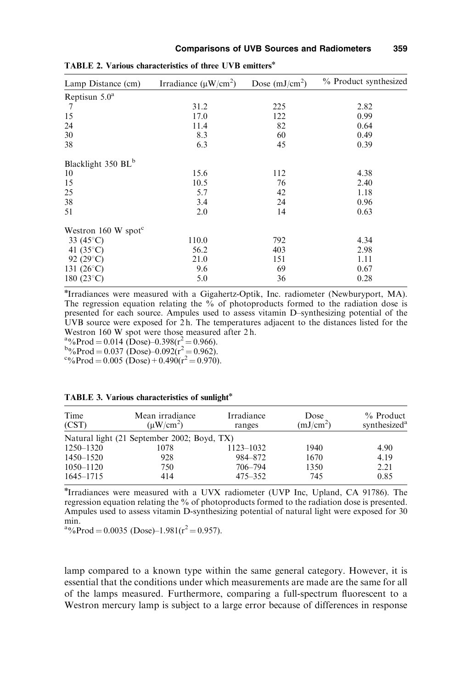| Lamp Distance (cm)                | Irradiance $(\mu W/cm^2)$ | Dose $(mJ/cm2)$ | % Product synthesized |
|-----------------------------------|---------------------------|-----------------|-----------------------|
| Reptisun $5.0^a$                  |                           |                 |                       |
| 7                                 | 31.2                      | 225             | 2.82                  |
| 15                                | 17.0                      | 122             | 0.99                  |
| 24                                | 11.4                      | 82              | 0.64                  |
| 30                                | 8.3                       | 60              | 0.49                  |
| 38                                | 6.3                       | 45              | 0.39                  |
| Blacklight 350 BL <sup>b</sup>    |                           |                 |                       |
| 10                                | 15.6                      | 112             | 4.38                  |
| 15                                | 10.5                      | 76              | 2.40                  |
| 25                                | 5.7                       | 42              | 1.18                  |
| 38                                | 3.4                       | 24              | 0.96                  |
| 51                                | 2.0                       | 14              | 0.63                  |
| Westron $160$ W spot <sup>c</sup> |                           |                 |                       |
| 33 $(45^{\circ}C)$                | 110.0                     | 792             | 4.34                  |
| 41 $(35^{\circ}C)$                | 56.2                      | 403             | 2.98                  |
| 92 $(29^{\circ}C)$                | 21.0                      | 151             | 1.11                  |
| 131 $(26^{\circ}C)$               | 9.6                       | 69              | 0.67                  |
| 180 $(23^{\circ}C)$               | 5.0                       | 36              | 0.28                  |

TABLE 2. Various characteristics of three UVB emitters\*

n Irradiances were measured with a Gigahertz-Optik, Inc. radiometer (Newburyport, MA). The regression equation relating the  $\%$  of photoproducts formed to the radiation dose is presented for each source. Ampules used to assess vitamin D–synthesizing potential of the UVB source were exposed for 2 h. The temperatures adjacent to the distances listed for the Westron 160 W spot were those measured after 2 h.  ${}^{a_0}_{b_0}$ Prod = 0.014 (Dose)–0.398( $r^2$  = 0.966).<br> ${}^{b_0}_{b_0}$  Prod = 0.037 (Dose), 0.092( $r^2$  = 0.962).

 $^{b}$ %Prod = 0.037 (Dose)–0.092( $r^2$  = 0.962).

 $^{c}$ %Prod = 0.005 (Dose) + 0.490(r<sup>2</sup> = 0.970).

|  | TABLE 3. Various characteristics of sunlight* |  |
|--|-----------------------------------------------|--|
|  |                                               |  |

| Time<br>(CST) | Mean irradiance<br>$(\mu W/cm^2)$           | Irradiance<br>ranges | Dose<br>(mJ/cm <sup>2</sup> ) | $%$ Product<br>synthesized <sup>a</sup> |
|---------------|---------------------------------------------|----------------------|-------------------------------|-----------------------------------------|
|               | Natural light (21 September 2002; Boyd, TX) |                      |                               |                                         |
| $1250 - 1320$ | 1078                                        | 1123-1032            | 1940                          | 4.90                                    |
| $1450 - 1520$ | 928                                         | 984-872              | 1670                          | 4.19                                    |
| $1050 - 1120$ | 750                                         | 706–794              | 1350                          | 2.21                                    |
| $1645 - 1715$ | 414                                         | $475 - 352$          | 745                           | 0.85                                    |

n Irradiances were measured with a UVX radiometer (UVP Inc, Upland, CA 91786). The regression equation relating the % of photoproducts formed to the radiation dose is presented. Ampules used to assess vitamin D-synthesizing potential of natural light were exposed for 30 min.

 $\binom{a_0}{b}$ Prod = 0.0035 (Dose)-1.981( $r^2$  = 0.957).

lamp compared to a known type within the same general category. However, it is essential that the conditions under which measurements are made are the same for all of the lamps measured. Furthermore, comparing a full-spectrum fluorescent to a Westron mercury lamp is subject to a large error because of differences in response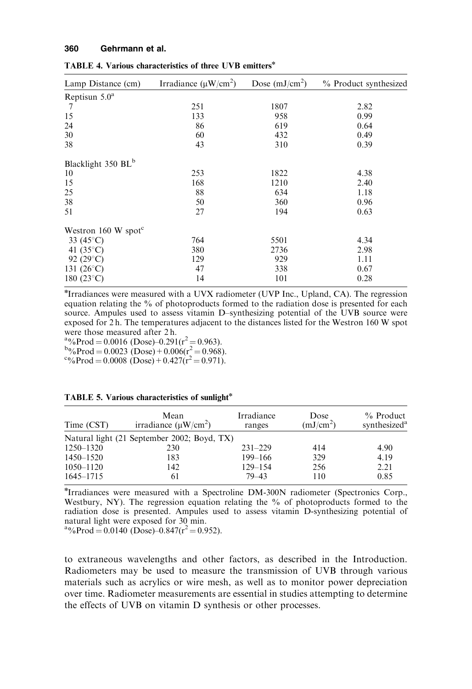#### 360 Gehrmann et al.

| Lamp Distance (cm)             | Irradiance $(\mu W/cm^2)$ | Dose $(mJ/cm2)$ | % Product synthesized |
|--------------------------------|---------------------------|-----------------|-----------------------|
| Reptisun $5.0^a$               |                           |                 |                       |
| 7                              | 251                       | 1807            | 2.82                  |
| 15                             | 133                       | 958             | 0.99                  |
| 24                             | 86                        | 619             | 0.64                  |
| 30                             | 60                        | 432             | 0.49                  |
| 38                             | 43                        | 310             | 0.39                  |
| Blacklight 350 BL <sup>b</sup> |                           |                 |                       |
| 10                             | 253                       | 1822            | 4.38                  |
| 15                             | 168                       | 1210            | 2.40                  |
| 25                             | 88                        | 634             | 1.18                  |
| 38                             | 50                        | 360             | 0.96                  |
| 51                             | 27                        | 194             | 0.63                  |
| Westron $160$ W spot $c$       |                           |                 |                       |
| 33 $(45^{\circ}C)$             | 764                       | 5501            | 4.34                  |
| 41 $(35^{\circ}C)$             | 380                       | 2736            | 2.98                  |
| 92 $(29^{\circ}C)$             | 129                       | 929             | 1.11                  |
| 131 $(26^{\circ}C)$            | 47                        | 338             | 0.67                  |
| 180 $(23^{\circ}C)$            | 14                        | 101             | 0.28                  |

TABLE 4. Various characteristics of three UVB emitters\*

n Irradiances were measured with a UVX radiometer (UVP Inc., Upland, CA). The regression equation relating the % of photoproducts formed to the radiation dose is presented for each source. Ampules used to assess vitamin D–synthesizing potential of the UVB source were exposed for 2 h. The temperatures adjacent to the distances listed for the Westron 160 W spot were those measured after 2 h.

 ${}^{a_0}_{b_0}$ Prod = 0.0016 (Dose)–0.291( $r^2$  = 0.963).<br> ${}^{b_0}_{b_1}$  Prod = 0.0023 (Dose) + 0.006( $r^2$  = 0.968)  $^{b}$ %Prod = 0.0023 (Dose) + 0.006( $r^2$  = 0.968).  $^{c}$ %Prod = 0.0008 (Dose) + 0.427( $r^2$  = 0.971).

|  | <b>TABLE 5. Various characteristics of sunlight*</b> |  |
|--|------------------------------------------------------|--|

| Time (CST)    | Mean<br>irradiance $(\mu W/cm^2)$           | Irradiance<br>ranges | Dose<br>(mJ/cm <sup>2</sup> ) | $\%$ Product<br>synthesized <sup>a</sup> |
|---------------|---------------------------------------------|----------------------|-------------------------------|------------------------------------------|
|               | Natural light (21 September 2002; Boyd, TX) |                      |                               |                                          |
| $1250 - 1320$ | <b>230</b>                                  | $231 - 229$          | 414                           | 4.90                                     |
| $1450 - 1520$ | 183                                         | $199 - 166$          | 329                           | 4.19                                     |
| $1050 - 1120$ | 142                                         | $129 - 154$          | 256                           | 2.21                                     |
| 1645–1715     | 61                                          | $79 - 43$            | 110                           | 0.85                                     |

n Irradiances were measured with a Spectroline DM-300N radiometer (Spectronics Corp., Westbury, NY). The regression equation relating the % of photoproducts formed to the radiation dose is presented. Ampules used to assess vitamin D-synthesizing potential of natural light were exposed for 30 min.

 $\mathrm{^{a_0}\%}$ Prod = 0.0140 (Dose)–0.847( $\mathrm{r}^2$  = 0.952).

to extraneous wavelengths and other factors, as described in the Introduction. Radiometers may be used to measure the transmission of UVB through various materials such as acrylics or wire mesh, as well as to monitor power depreciation over time. Radiometer measurements are essential in studies attempting to determine the effects of UVB on vitamin D synthesis or other processes.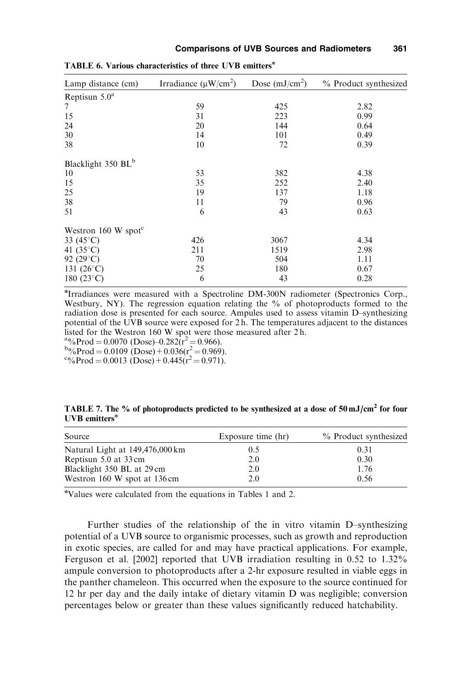| Lamp distance (cm)              | Irradiance $(\mu W/cm^2)$ | Dose $(mJ/cm2)$ | % Product synthesized |
|---------------------------------|---------------------------|-----------------|-----------------------|
| Reptisun $5.0^a$                |                           |                 |                       |
| 7                               | 59                        | 425             | 2.82                  |
| 15                              | 31                        | 223             | 0.99                  |
| 24                              | 20                        | 144             | 0.64                  |
| 30                              | 14                        | 101             | 0.49                  |
| 38                              | 10                        | 72              | 0.39                  |
| Blacklight 350 BL <sup>b</sup>  |                           |                 |                       |
| 10                              | 53                        | 382             | 4.38                  |
| 15                              | 35                        | 252             | 2.40                  |
| 25                              | 19                        | 137             | 1.18                  |
| 38                              | 11                        | 79              | 0.96                  |
| 51                              | 6                         | 43              | 0.63                  |
| Westron 160 W spot <sup>c</sup> |                           |                 |                       |
| 33 (45°C)                       | 426                       | 3067            | 4.34                  |
| 41 $(35^{\circ}C)$              | 211                       | 1519            | 2.98                  |
| 92 (29°C)                       | 70                        | 504             | 1.11                  |
| 131 $(26^{\circ}C)$             | 25                        | 180             | 0.67                  |
| 180 $(23^{\circ}C)$             | 6                         | 43              | 0.28                  |

TABLE 6. Various characteristics of three UVB emitters\*

n Irradiances were measured with a Spectroline DM-300N radiometer (Spectronics Corp., Westbury, NY). The regression equation relating the % of photoproducts formed to the radiation dose is presented for each source. Ampules used to assess vitamin D–synthesizing potential of the UVB source were exposed for 2 h. The temperatures adjacent to the distances listed for the Westron 160 W spot were those measured after 2 h.

 ${}^{a_0}_{b_0}$ Prod = 0.0070 (Dose)–0.282( $r^2$  = 0.966).<br> ${}^{b_0}_{b_1}$  Prod = 0.0109 (Dose) + 0.036( $r^2$  = 0.969)

 $^{b}$ %Prod = 0.0109 (Dose) + 0.036( $r^2$  = 0.969).

 ${}^{c}$ %Prod = 0.0013 (Dose) + 0.445( $r^2$  = 0.971).

TABLE 7. The % of photoproducts predicted to be synthesized at a dose of  $50 \,\mathrm{mJ/cm}^2$  for four  $UVB$  emitters $*$ 

| Source                          | Exposure time (hr) | % Product synthesized |
|---------------------------------|--------------------|-----------------------|
| Natural Light at 149,476,000 km | 0.5                | 0.31                  |
| Reptisun 5.0 at 33 cm           | 2.0                | 0.30                  |
| Blacklight 350 BL at 29 cm      | 2.0                | 1.76                  |
| Westron 160 W spot at 136 cm    | 2.0                | 0.56                  |

n Values were calculated from the equations in Tables 1 and 2.

Further studies of the relationship of the in vitro vitamin D–synthesizing potential of a UVB source to organismic processes, such as growth and reproduction in exotic species, are called for and may have practical applications. For example, Ferguson et al. [2002] reported that UVB irradiation resulting in 0.52 to 1.32% ampule conversion to photoproducts after a 2-hr exposure resulted in viable eggs in the panther chameleon. This occurred when the exposure to the source continued for 12 hr per day and the daily intake of dietary vitamin D was negligible; conversion percentages below or greater than these values significantly reduced hatchability.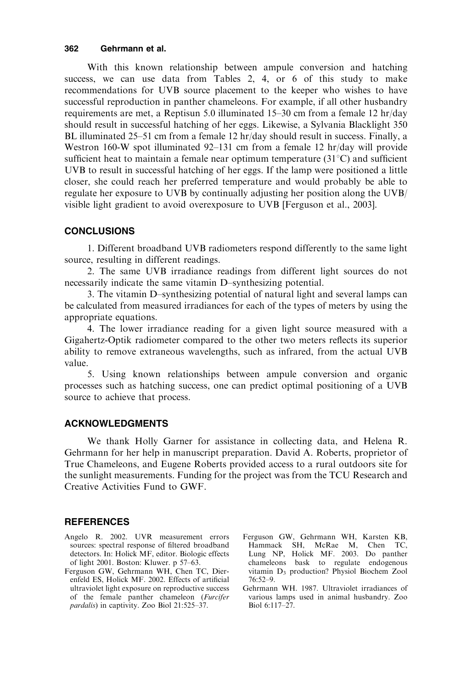#### 362 Gehrmann et al.

With this known relationship between ampule conversion and hatching success, we can use data from Tables 2, 4, or 6 of this study to make recommendations for UVB source placement to the keeper who wishes to have successful reproduction in panther chameleons. For example, if all other husbandry requirements are met, a Reptisun 5.0 illuminated 15–30 cm from a female 12 hr/day should result in successful hatching of her eggs. Likewise, a Sylvania Blacklight 350 BL illuminated 25–51 cm from a female 12 hr/day should result in success. Finally, a Westron 160-W spot illuminated 92–131 cm from a female 12 hr/day will provide sufficient heat to maintain a female near optimum temperature  $(31^{\circ}C)$  and sufficient UVB to result in successful hatching of her eggs. If the lamp were positioned a little closer, she could reach her preferred temperature and would probably be able to regulate her exposure to UVB by continually adjusting her position along the UVB/ visible light gradient to avoid overexposure to UVB [Ferguson et al., 2003].

## **CONCLUSIONS**

1. Different broadband UVB radiometers respond differently to the same light source, resulting in different readings.

2. The same UVB irradiance readings from different light sources do not necessarily indicate the same vitamin D–synthesizing potential.

3. The vitamin D–synthesizing potential of natural light and several lamps can be calculated from measured irradiances for each of the types of meters by using the appropriate equations.

4. The lower irradiance reading for a given light source measured with a Gigahertz-Optik radiometer compared to the other two meters reflects its superior ability to remove extraneous wavelengths, such as infrared, from the actual UVB value.

5. Using known relationships between ampule conversion and organic processes such as hatching success, one can predict optimal positioning of a UVB source to achieve that process.

#### ACKNOWLEDGMENTS

We thank Holly Garner for assistance in collecting data, and Helena R. Gehrmann for her help in manuscript preparation. David A. Roberts, proprietor of True Chameleons, and Eugene Roberts provided access to a rural outdoors site for the sunlight measurements. Funding for the project was from the TCU Research and Creative Activities Fund to GWF.

#### **REFERENCES**

- Angelo R. 2002. UVR measurement errors sources: spectral response of filtered broadband detectors. In: Holick MF, editor. Biologic effects of light 2001. Boston: Kluwer. p 57–63.
- Ferguson GW, Gehrmann WH, Chen TC, Dierenfeld ES, Holick MF. 2002. Effects of artificial ultraviolet light exposure on reproductive success of the female panther chameleon (Furcifer pardalis) in captivity. Zoo Biol 21:525–37.
- Ferguson GW, Gehrmann WH, Karsten KB, Hammack SH, McRae M, Chen TC, Lung NP, Holick MF. 2003. Do panther chameleons bask to regulate endogenous vitamin D<sub>3</sub> production? Physiol Biochem Zool 76:52–9.
- Gehrmann WH. 1987. Ultraviolet irradiances of various lamps used in animal husbandry. Zoo Biol 6:117–27.